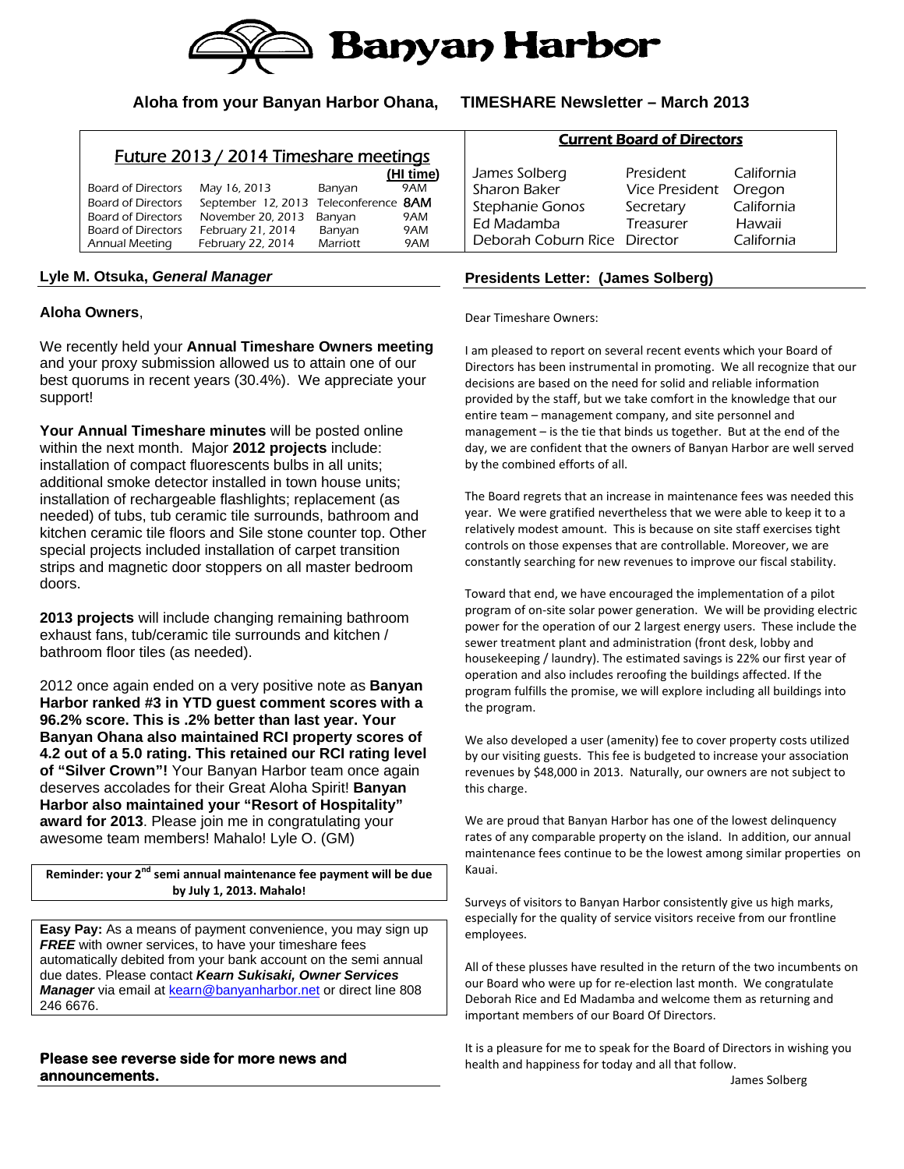

### **Aloha from your Banyan Harbor Ohana, TIMESHARE Newsletter – March 2013**

### Future 2013 / 2014 Timeshare meetings

|                           |                                              |          | (HI time) |
|---------------------------|----------------------------------------------|----------|-----------|
| Board of Directors        | May 16, 2013                                 | Banyan   | 9AM       |
| <b>Board of Directors</b> | September 12, 2013 Teleconference <b>8AM</b> |          |           |
| Board of Directors        | November 20, 2013                            | Banvan   | 9AM       |
| Board of Directors        | February 21, 2014                            | Banyan   | 9AM       |
| Annual Meeting            | February 22, 2014                            | Marriott | 9AM       |

#### **Lyle M. Otsuka,** *General Manager*

#### **Aloha Owners**,

We recently held your **Annual Timeshare Owners meeting** and your proxy submission allowed us to attain one of our best quorums in recent years (30.4%). We appreciate your support!

**Your Annual Timeshare minutes** will be posted online within the next month. Major **2012 projects** include: installation of compact fluorescents bulbs in all units; additional smoke detector installed in town house units; installation of rechargeable flashlights; replacement (as needed) of tubs, tub ceramic tile surrounds, bathroom and kitchen ceramic tile floors and Sile stone counter top. Other special projects included installation of carpet transition strips and magnetic door stoppers on all master bedroom doors.

**2013 projects** will include changing remaining bathroom exhaust fans, tub/ceramic tile surrounds and kitchen / bathroom floor tiles (as needed).

2012 once again ended on a very positive note as **Banyan Harbor ranked #3 in YTD guest comment scores with a 96.2% score. This is .2% better than last year. Your Banyan Ohana also maintained RCI property scores of 4.2 out of a 5.0 rating. This retained our RCI rating level of "Silver Crown"!** Your Banyan Harbor team once again deserves accolades for their Great Aloha Spirit! **Banyan Harbor also maintained your "Resort of Hospitality" award for 2013**. Please join me in congratulating your awesome team members! Mahalo! Lyle O. (GM)

**Reminder: your 2nd semi annual maintenance fee payment will be due by July 1, 2013. Mahalo!**

**Easy Pay:** As a means of payment convenience, you may sign up **FREE** with owner services, to have your timeshare fees automatically debited from your bank account on the semi annual due dates. Please contact *Kearn Sukisaki, Owner Services Manager* via email at **kearn@banyanharbor.net** or direct line 808 246 6676.

#### **Please see reverse side for more news and announcements.**

| Current board of Directors   |                |            |  |  |
|------------------------------|----------------|------------|--|--|
| James Solberg                | President      | California |  |  |
| Sharon Baker                 | Vice President | Oregon     |  |  |
| Stephanie Gonos              | Secretary      | California |  |  |
| Ed Madamba                   | Treasurer      | Hawaii     |  |  |
| Deborah Coburn Rice Director |                | California |  |  |

Current Board of Directors

#### **Presidents Letter: (James Solberg)**

Dear Timeshare Owners:

I am pleased to report on several recent events which your Board of Directors has been instrumental in promoting. We all recognize that our decisions are based on the need for solid and reliable information provided by the staff, but we take comfort in the knowledge that our entire team – management company, and site personnel and management – is the tie that binds us together. But at the end of the day, we are confident that the owners of Banyan Harbor are well served by the combined efforts of all.

The Board regrets that an increase in maintenance fees was needed this year. We were gratified nevertheless that we were able to keep it to a relatively modest amount. This is because on site staff exercises tight controls on those expenses that are controllable. Moreover, we are constantly searching for new revenues to improve our fiscal stability.

Toward that end, we have encouraged the implementation of a pilot program of on‐site solar power generation. We will be providing electric power for the operation of our 2 largest energy users. These include the sewer treatment plant and administration (front desk, lobby and housekeeping / laundry). The estimated savings is 22% our first year of operation and also includes reroofing the buildings affected. If the program fulfills the promise, we will explore including all buildings into the program.

We also developed a user (amenity) fee to cover property costs utilized by our visiting guests. This fee is budgeted to increase your association revenues by \$48,000 in 2013. Naturally, our owners are not subject to this charge.

We are proud that Banyan Harbor has one of the lowest delinquency rates of any comparable property on the island. In addition, our annual maintenance fees continue to be the lowest among similar properties on Kauai.

Surveys of visitors to Banyan Harbor consistently give us high marks, especially for the quality of service visitors receive from our frontline employees.

All of these plusses have resulted in the return of the two incumbents on our Board who were up for re‐election last month. We congratulate Deborah Rice and Ed Madamba and welcome them as returning and important members of our Board Of Directors.

It is a pleasure for me to speak for the Board of Directors in wishing you health and happiness for today and all that follow.

James Solberg